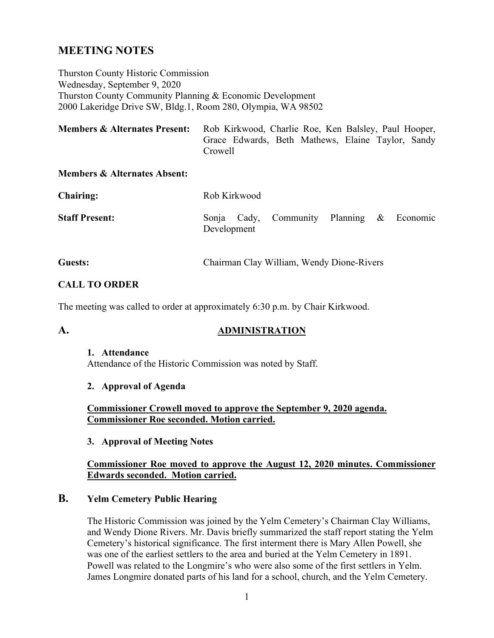# **MEETING NOTES**

Thurston County Historic Commission Wednesday, September 9, 2020 Thurston County Community Planning & Economic Development 2000 Lakeridge Drive SW, Bldg.1, Room 280, Olympia, WA 98502

| <b>Members &amp; Alternates Present:</b> | Rob Kirkwood, Charlie Roe, Ken Balsley, Paul Hooper, |
|------------------------------------------|------------------------------------------------------|
|                                          | Grace Edwards, Beth Mathews, Elaine Taylor, Sandy    |
|                                          | Crowell                                              |

#### **Members & Alternates Absent:**

| <b>Chairing:</b>      | Rob Kirkwood |  |                                           |  |  |  |  |
|-----------------------|--------------|--|-------------------------------------------|--|--|--|--|
| <b>Staff Present:</b> | Development  |  | Sonja Cady, Community Planning & Economic |  |  |  |  |
|                       |              |  |                                           |  |  |  |  |

# **Guests:** Chairman Clay William, Wendy Dione-Rivers

# **CALL TO ORDER**

The meeting was called to order at approximately 6:30 p.m. by Chair Kirkwood.

# **A. ADMINISTRATION**

#### **1. Attendance**

Attendance of the Historic Commission was noted by Staff.

#### **2. Approval of Agenda**

**Commissioner Crowell moved to approve the September 9, 2020 agenda. Commissioner Roe seconded. Motion carried.**

#### **3. Approval of Meeting Notes**

#### **Commissioner Roe moved to approve the August 12, 2020 minutes. Commissioner Edwards seconded. Motion carried.**

#### **B. Yelm Cemetery Public Hearing**

The Historic Commission was joined by the Yelm Cemetery's Chairman Clay Williams, and Wendy Dione Rivers. Mr. Davis briefly summarized the staff report stating the Yelm Cemetery's historical significance. The first interment there is Mary Allen Powell, she was one of the earliest settlers to the area and buried at the Yelm Cemetery in 1891. Powell was related to the Longmire's who were also some of the first settlers in Yelm. James Longmire donated parts of his land for a school, church, and the Yelm Cemetery.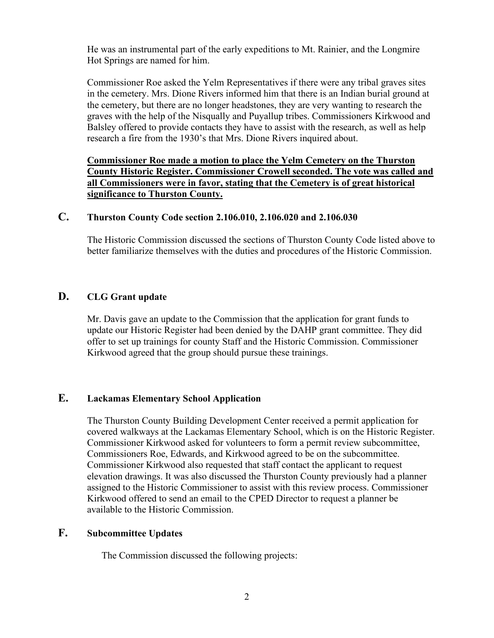He was an instrumental part of the early expeditions to Mt. Rainier, and the Longmire Hot Springs are named for him.

Commissioner Roe asked the Yelm Representatives if there were any tribal graves sites in the cemetery. Mrs. Dione Rivers informed him that there is an Indian burial ground at the cemetery, but there are no longer headstones, they are very wanting to research the graves with the help of the Nisqually and Puyallup tribes. Commissioners Kirkwood and Balsley offered to provide contacts they have to assist with the research, as well as help research a fire from the 1930's that Mrs. Dione Rivers inquired about.

**Commissioner Roe made a motion to place the Yelm Cemetery on the Thurston County Historic Register. Commissioner Crowell seconded. The vote was called and all Commissioners were in favor, stating that the Cemetery is of great historical significance to Thurston County.** 

# **C. Thurston County Code section 2.106.010, 2.106.020 and 2.106.030**

The Historic Commission discussed the sections of Thurston County Code listed above to better familiarize themselves with the duties and procedures of the Historic Commission.

#### **D. CLG Grant update**

Mr. Davis gave an update to the Commission that the application for grant funds to update our Historic Register had been denied by the DAHP grant committee. They did offer to set up trainings for county Staff and the Historic Commission. Commissioner Kirkwood agreed that the group should pursue these trainings.

#### **E. Lackamas Elementary School Application**

The Thurston County Building Development Center received a permit application for covered walkways at the Lackamas Elementary School, which is on the Historic Register. Commissioner Kirkwood asked for volunteers to form a permit review subcommittee, Commissioners Roe, Edwards, and Kirkwood agreed to be on the subcommittee. Commissioner Kirkwood also requested that staff contact the applicant to request elevation drawings. It was also discussed the Thurston County previously had a planner assigned to the Historic Commissioner to assist with this review process. Commissioner Kirkwood offered to send an email to the CPED Director to request a planner be available to the Historic Commission.

# **F. Subcommittee Updates**

The Commission discussed the following projects: